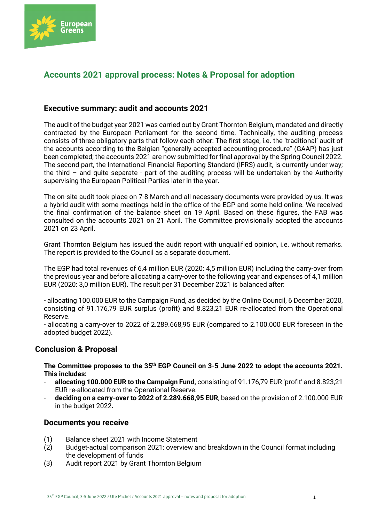

# **Accounts 2021 approval process: Notes & Proposal for adoption**

## **Executive summary: audit and accounts 2021**

The audit of the budget year 2021 was carried out by Grant Thornton Belgium, mandated and directly contracted by the European Parliament for the second time. Technically, the auditing process consists of three obligatory parts that follow each other: The first stage, i.e. the 'traditional' audit of the accounts according to the Belgian "generally accepted accounting procedure" (GAAP) has just been completed; the accounts 2021 are now submitted for final approval by the Spring Council 2022. The second part, the International Financial Reporting Standard (IFRS) audit, is currently under way; the third – and quite separate - part of the auditing process will be undertaken by the Authority supervising the European Political Parties later in the year.

The on-site audit took place on 7-8 March and all necessary documents were provided by us. It was a hybrid audit with some meetings held in the office of the EGP and some held online. We received the final confirmation of the balance sheet on 19 April. Based on these figures, the FAB was consulted on the accounts 2021 on 21 April. The Committee provisionally adopted the accounts 2021 on 23 April.

Grant Thornton Belgium has issued the audit report with unqualified opinion, i.e. without remarks. The report is provided to the Council as a separate document.

The EGP had total revenues of 6,4 million EUR (2020: 4,5 million EUR) including the carry-over from the previous year and before allocating a carry-over to the following year and expenses of 4,1 million EUR (2020: 3,0 million EUR). The result per 31 December 2021 is balanced after:

- allocating 100.000 EUR to the Campaign Fund, as decided by the Online Council, 6 December 2020, consisting of 91.176,79 EUR surplus (profit) and 8.823,21 EUR re-allocated from the Operational Reserve.

- allocating a carry-over to 2022 of 2.289.668,95 EUR (compared to 2.100.000 EUR foreseen in the adopted budget 2022).

## **Conclusion & Proposal**

**The Committee proposes to the 35th EGP Council on 3-5 June 2022 to adopt the accounts 2021. This includes:**

- **allocating 100.000 EUR to the Campaign Fund,** consisting of 91.176,79 EUR 'profit' and 8.823,21 EUR re-allocated from the Operational Reserve.
- **deciding on a carry-over to 2022 of 2.289.668,95 EUR**, based on the provision of 2.100.000 EUR in the budget 2022**.**

## **Documents you receive**

- (1) Balance sheet 2021 with Income Statement
- (2) Budget-actual comparison 2021: overview and breakdown in the Council format including the development of funds
- (3) Audit report 2021 by Grant Thornton Belgium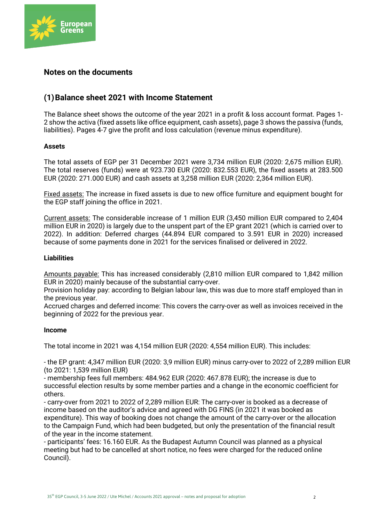

# **Notes on the documents**

# **(1)Balance sheet 2021 with Income Statement**

The Balance sheet shows the outcome of the year 2021 in a profit & loss account format. Pages 1- 2 show the activa (fixed assets like office equipment, cash assets), page 3 shows the passiva (funds, liabilities). Pages 4-7 give the profit and loss calculation (revenue minus expenditure).

### **Assets**

The total assets of EGP per 31 December 2021 were 3,734 million EUR (2020: 2,675 million EUR). The total reserves (funds) were at 923.730 EUR (2020: 832.553 EUR), the fixed assets at 283.500 EUR (2020: 271.000 EUR) and cash assets at 3,258 million EUR (2020: 2,364 million EUR).

Fixed assets: The increase in fixed assets is due to new office furniture and equipment bought for the EGP staff joining the office in 2021.

Current assets: The considerable increase of 1 million EUR (3,450 million EUR compared to 2,404 million EUR in 2020) is largely due to the unspent part of the EP grant 2021 (which is carried over to 2022). In addition: Deferred charges (44.894 EUR compared to 3.591 EUR in 2020) increased because of some payments done in 2021 for the services finalised or delivered in 2022.

### **Liabilities**

Amounts payable: This has increased considerably (2,810 million EUR compared to 1,842 million EUR in 2020) mainly because of the substantial carry-over.

Provision holiday pay: according to Belgian labour law, this was due to more staff employed than in the previous year.

Accrued charges and deferred income: This covers the carry-over as well as invoices received in the beginning of 2022 for the previous year.

#### **Income**

The total income in 2021 was 4,154 million EUR (2020: 4,554 million EUR). This includes:

- the EP grant: 4,347 million EUR (2020: 3,9 million EUR) minus carry-over to 2022 of 2,289 million EUR (to 2021: 1,539 million EUR)

- membership fees full members: 484.962 EUR (2020: 467.878 EUR); the increase is due to successful election results by some member parties and a change in the economic coefficient for others.

- carry-over from 2021 to 2022 of 2,289 million EUR: The carry-over is booked as a decrease of income based on the auditor's advice and agreed with DG FINS (in 2021 it was booked as expenditure). This way of booking does not change the amount of the carry-over or the allocation to the Campaign Fund, which had been budgeted, but only the presentation of the financial result of the year in the income statement.

- participants' fees: 16.160 EUR. As the Budapest Autumn Council was planned as a physical meeting but had to be cancelled at short notice, no fees were charged for the reduced online Council).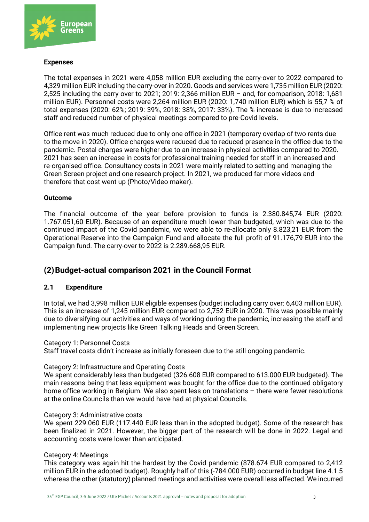

### **Expenses**

The total expenses in 2021 were 4,058 million EUR excluding the carry-over to 2022 compared to 4,329 million EUR including the carry-over in 2020. Goods and services were 1,735 million EUR (2020: 2,525 including the carry over to 2021; 2019: 2,366 million EUR – and, for comparison, 2018: 1,681 million EUR). Personnel costs were 2,264 million EUR (2020: 1,740 million EUR) which is 55,7 % of total expenses (2020: 62%; 2019: 39%, 2018: 38%, 2017: 33%). The % increase is due to increased staff and reduced number of physical meetings compared to pre-Covid levels.

Office rent was much reduced due to only one office in 2021 (temporary overlap of two rents due to the move in 2020). Office charges were reduced due to reduced presence in the office due to the pandemic. Postal charges were higher due to an increase in physical activities compared to 2020. 2021 has seen an increase in costs for professional training needed for staff in an increased and re-organised office. Consultancy costs in 2021 were mainly related to setting and managing the Green Screen project and one research project. In 2021, we produced far more videos and therefore that cost went up (Photo/Video maker).

### **Outcome**

The financial outcome of the year before provision to funds is 2.380.845,74 EUR (2020: 1.767.051,60 EUR). Because of an expenditure much lower than budgeted, which was due to the continued impact of the Covid pandemic, we were able to re-allocate only 8.823,21 EUR from the Operational Reserve into the Campaign Fund and allocate the full profit of 91.176,79 EUR into the Campaign fund. The carry-over to 2022 is 2.289.668,95 EUR.

# **(2)Budget-actual comparison 2021 in the Council Format**

## **2.1 Expenditure**

In total, we had 3,998 million EUR eligible expenses (budget including carry over: 6,403 million EUR). This is an increase of 1,245 million EUR compared to 2,752 EUR in 2020. This was possible mainly due to diversifying our activities and ways of working during the pandemic, increasing the staff and implementing new projects like Green Talking Heads and Green Screen.

### Category 1: Personnel Costs

Staff travel costs didn't increase as initially foreseen due to the still ongoing pandemic.

### Category 2: Infrastructure and Operating Costs

We spent considerably less than budgeted (326.608 EUR compared to 613.000 EUR budgeted). The main reasons being that less equipment was bought for the office due to the continued obligatory home office working in Belgium. We also spent less on translations - there were fewer resolutions at the online Councils than we would have had at physical Councils.

#### Category 3: Administrative costs

We spent 229.060 EUR (117.440 EUR less than in the adopted budget). Some of the research has been finalized in 2021. However, the bigger part of the research will be done in 2022. Legal and accounting costs were lower than anticipated.

### Category 4: Meetings

This category was again hit the hardest by the Covid pandemic (878.674 EUR compared to 2,412 million EUR in the adopted budget). Roughly half of this (-784.000 EUR) occurred in budget line 4.1.5 whereas the other (statutory) planned meetings and activities were overall less affected. We incurred